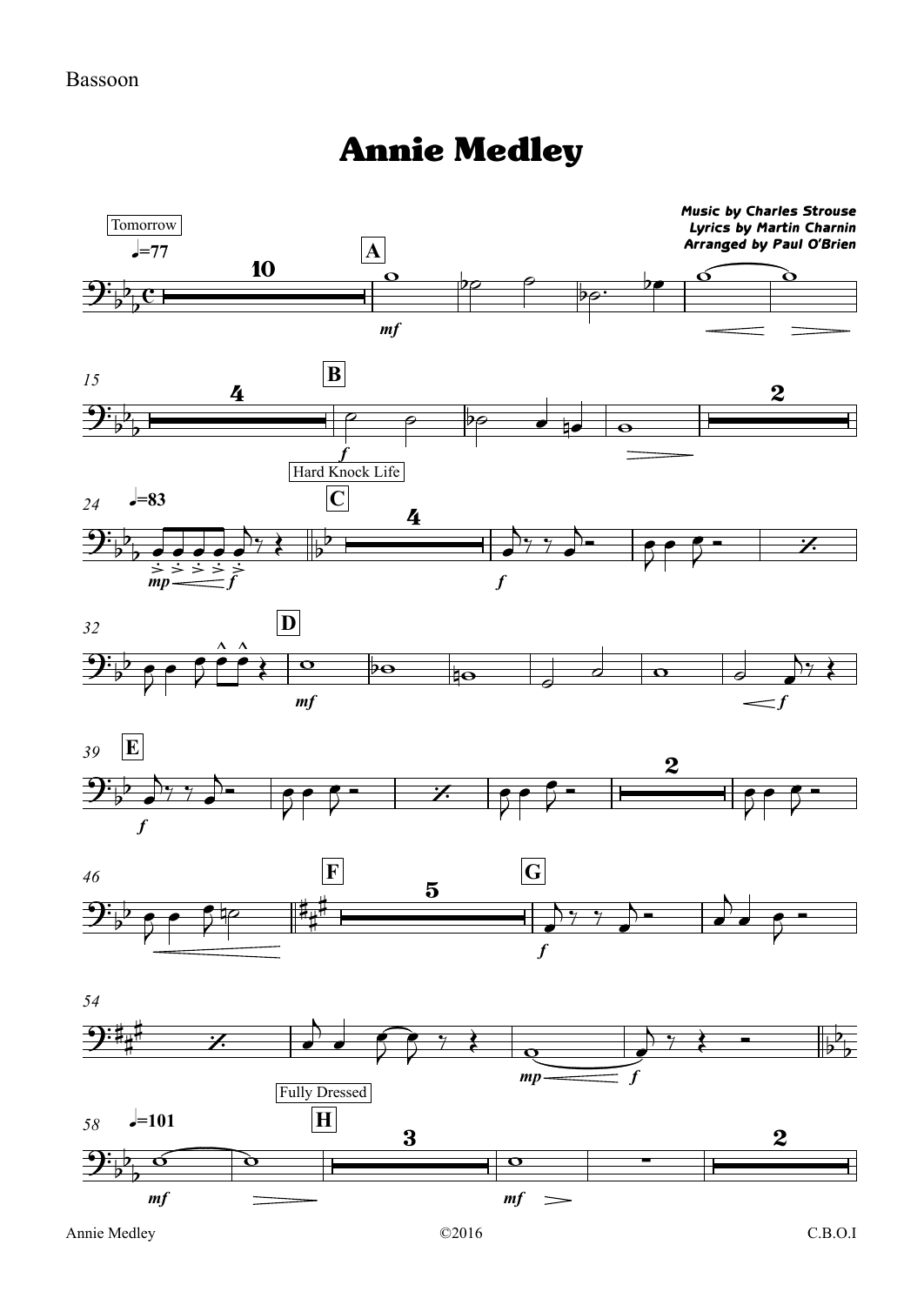## Annie Medley